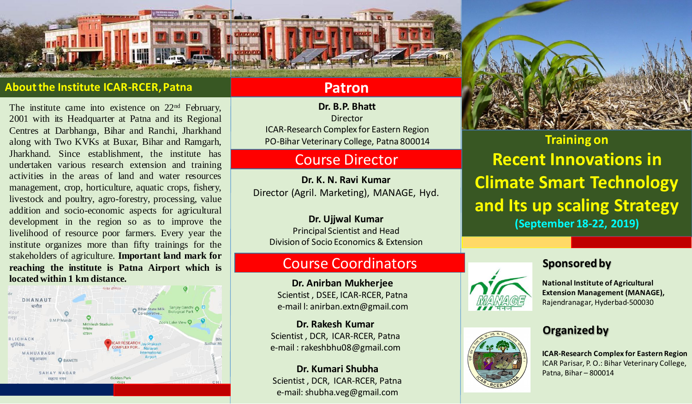### **About the Institute ICAR-RCER, Patna**

The institute came into existence on 22<sup>nd</sup> February, 2001 with its Headquarter at Patna and its Regional Centres at Darbhanga, Bihar and Ranchi, Jharkhand along with Two KVKs at Buxar, Bihar and Ramgarh, Jharkhand. Since establishment, the institute has undertaken various research extension and training activities in the areas of land and water resources management, crop, horticulture, aquatic crops, fishery, livestock and poultry, agro-forestry, processing, value addition and socio-economic aspects for agricultural development in the region so as to improve the livelihood of resource poor farmers. Every year the institute organizes more than fifty trainings for the stakeholders of agriculture. **Important land mark for reaching the institute is Patna Airport which is located within 1 km distance.**



## **Patron**

**Dr. B.P. Bhatt** Director ICAR-Research Complex for Eastern Region PO-Bihar Veterinary College, Patna 800014

# Course Director

**Dr. K. N. Ravi Kumar** Director (Agril. Marketing), MANAGE, Hyd.

## **Dr. Ujjwal Kumar**

Principal Scientist and Head Division of Socio Economics & Extension

# Course Coordinators

**Dr. Anirban Mukherjee** Scientist , DSEE, ICAR-RCER, Patna e-mail l: anirban.extn@gmail.com

**Dr. Rakesh Kumar** Scientist , DCR, ICAR-RCER, Patna e-mail : rakeshbhu08@gmail.com

**Dr. Kumari Shubha** Scientist , DCR, ICAR-RCER, Patna e-mail: shubha.veg@gmail.com



**Training on Recent Innovations in Climate Smart Technology and Its up scaling Strategy (September 18-22, 2019)**

## **Sponsored by**





**National Institute of Agricultural Extension Management (MANAGE),** Rajendranagar, Hyderbad-500030

## **Organized by**

**ICAR-Research Complex for Eastern Region** ICAR Parisar, P. O.: Bihar Veterinary College, Patna, Bihar – 800014